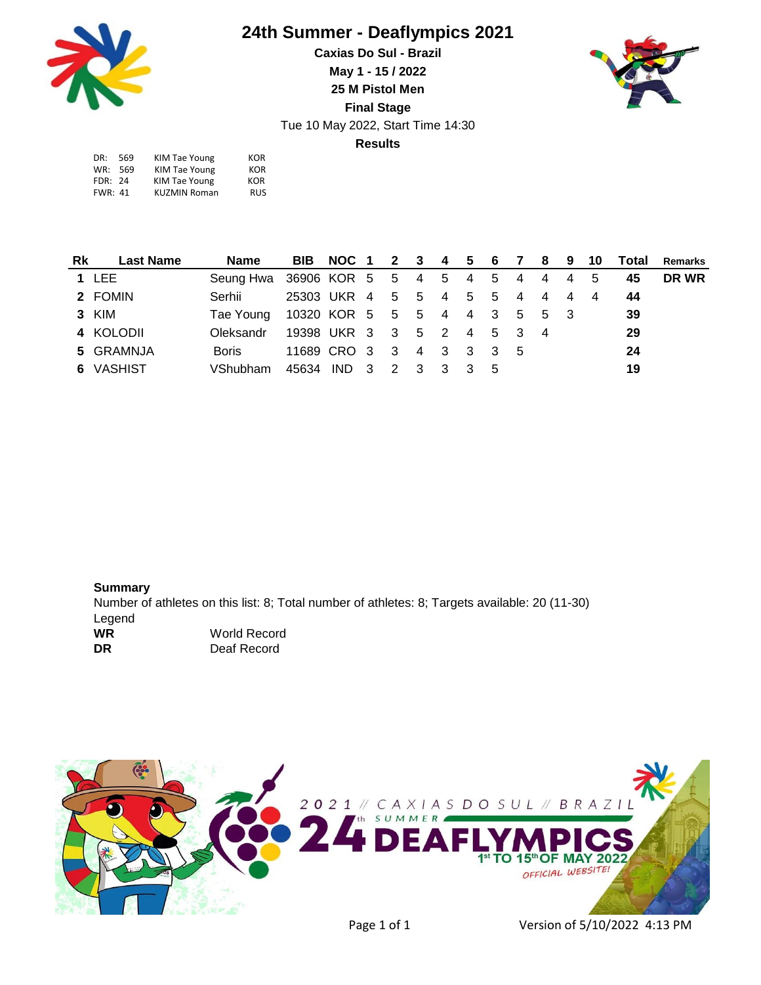

## **24th Summer - Deaflympics 2021**

**Results Caxias Do Sul - Brazil May 1 - 15 / 2022 25 M Pistol Men Final Stage** Tue 10 May 2022, Start Time 14:30



| DR:            | -569 | KIM Tae Young       | KOR        |
|----------------|------|---------------------|------------|
| WR: 569        |      | KIM Tae Young       | <b>KOR</b> |
| FDR: 24        |      | KIM Tae Young       | KOR        |
| <b>FWR: 41</b> |      | <b>KUZMIN Roman</b> | <b>RUS</b> |
|                |      |                     |            |

| Rk | Last Name    | Name                                    |                             |  |  |  |  |  |                |    | BIB NOC 1 2 3 4 5 6 7 8 9 10 Total Remarks |
|----|--------------|-----------------------------------------|-----------------------------|--|--|--|--|--|----------------|----|--------------------------------------------|
|    | <b>1 LEE</b> | Seung Hwa 36906 KOR 5 5 4 5 4 5 4 4 4 5 |                             |  |  |  |  |  |                | 45 | DR WR                                      |
|    | 2 FOMIN      | Serhii                                  | 25303 UKR 4 5 5 4 5 5 4 4 4 |  |  |  |  |  | $\overline{4}$ | 44 |                                            |
|    | 3 KIM        | Tae Young 10320 KOR 5 5 5 4 4 3 5 5 3   |                             |  |  |  |  |  |                | 39 |                                            |
|    | 4 KOLODII    | Oleksandr                               | 19398 UKR 3 3 5 2 4 5 3 4   |  |  |  |  |  |                | 29 |                                            |
|    | 5 GRAMNJA    | Boris                                   | 11689 CRO 3 3 4 3 3 3 5     |  |  |  |  |  |                | 24 |                                            |
|    | 6 VASHIST    | VShubham 45634 IND 3 2 3 3 3 5          |                             |  |  |  |  |  |                | 19 |                                            |

**Summary** Number of athletes on this list: 8; Total number of athletes: 8; Targets available: 20 (11-30) Legend **WR** World Record **DR** Deaf Record



Page 1 of 1 Version of 5/10/2022 4:13 PM